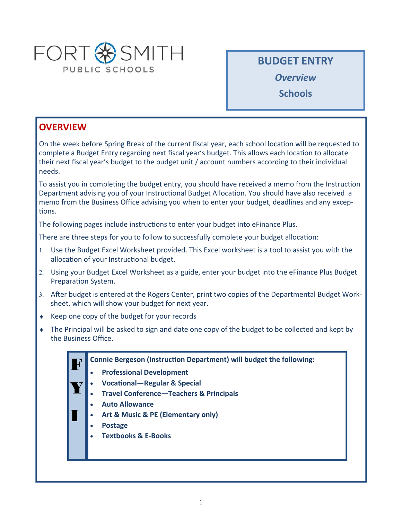

**BUDGET ENTRY** 

*Overview* 

**Schools** 

# **OVERVIEW**

On the week before Spring Break of the current fiscal year, each school location will be requested to complete a Budget Entry regarding next fiscal year's budget. This allows each location to allocate their next fiscal year's budget to the budget unit / account numbers according to their individual needs.

To assist you in completing the budget entry, you should have received a memo from the Instruction Department advising you of your Instructional Budget Allocation. You should have also received a memo from the Business Office advising you when to enter your budget, deadlines and any exceptions.

The following pages include instructions to enter your budget into eFinance Plus.

There are three steps for you to follow to successfully complete your budget allocation:

- Use the Budget Excel Worksheet provided. This Excel worksheet is a tool to assist you with the allocation of your Instructional budget.
- Using your Budget Excel Worksheet as a guide, enter your budget into the eFinance Plus Budget Preparation System.
- 3. After budget is entered at the Rogers Center, print two copies of the Departmental Budget Worksheet, which will show your budget for next year.
- ◆ Keep one copy of the budget for your records
- The Principal will be asked to sign and date one copy of the budget to be collected and kept by the Business Office.
	- **Connie Bergeson (Instruction Department) will budget the following:** F
		- **Professional Development**
	- **VocaƟonal—Regular & Special**  Y|
		- **Travel Conference—Teachers & Principals**
		- **Auto Allowance**
		- **Art & Music & PE (Elementary only)**
		- **Postage**

I

**Textbooks & E‐Books**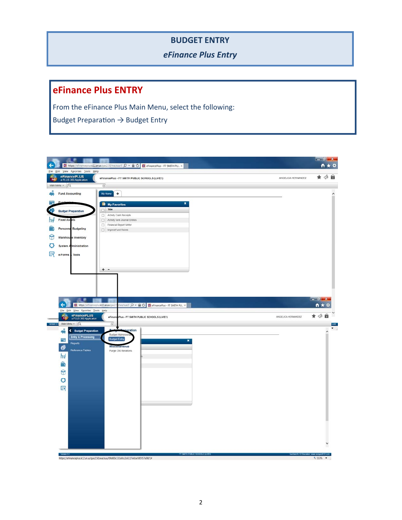#### **BUDGET ENTRY**

*eFinance Plus Entry* 

# **eFinance Plus ENTRY**

From the eFinance Plus Main Menu, select the following:

Budget Preparation  $\rightarrow$  Budget Entry

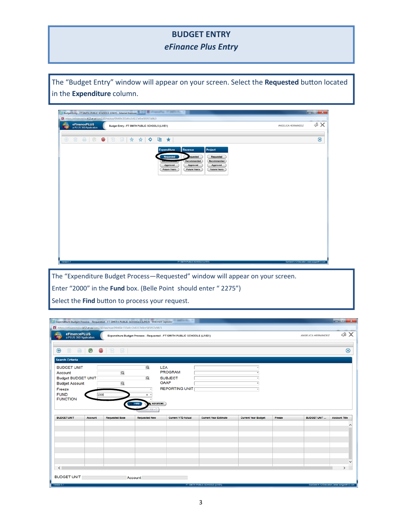#### **BUDGET ENTRY**

### *eFinance Plus Entry*

The "Budget Entry" window will appear on your screen. Select the Requested button located in the **Expenditure** column.

| eFinancePLUS<br>a PLUS 360 Application | Budget Entry - FT SMITH PUBLIC SCHOOLS (LIVE!!)                                                       | ANGELICA HERNANDEZ | 4X        |
|----------------------------------------|-------------------------------------------------------------------------------------------------------|--------------------|-----------|
| $\oplus$                               | ■ ●   ◎ ●   图 国   ☆ ☆   ◆ 唱 ★                                                                         |                    | $\otimes$ |
|                                        | Project<br>Revenue<br><b>Expenditure</b>                                                              |                    |           |
|                                        | Requested<br>Requested<br>equested<br>Recommended<br>Recommended                                      |                    |           |
|                                        | Approved<br>Approved<br>Approved<br><b>Future Years</b><br><b>Future Years</b><br><b>Future Years</b> |                    |           |
|                                        |                                                                                                       |                    |           |
|                                        |                                                                                                       |                    |           |
|                                        |                                                                                                       |                    |           |
|                                        |                                                                                                       |                    |           |
|                                        |                                                                                                       |                    |           |
|                                        |                                                                                                       |                    |           |
|                                        |                                                                                                       |                    |           |
|                                        |                                                                                                       |                    |           |
|                                        |                                                                                                       |                    |           |

The "Expenditure Budget Process—Requested" window will appear on your screen. Enter "2000" in the **Fund** box. (Belle Point should enter " 2275") Select the Find button to process your request.

| Expenditure Budget Process - Requested - FT SMITH PUBLIC SCHOOLS (LIVEII) - Internet Explorer |                                                                                                                     |                       |                       |                           |                              |                            |        |                    | $-0 x$               |
|-----------------------------------------------------------------------------------------------|---------------------------------------------------------------------------------------------------------------------|-----------------------|-----------------------|---------------------------|------------------------------|----------------------------|--------|--------------------|----------------------|
| Ti https://efinanceplus.k12.ar.us/gas2.50/wa/sua/09d60c333afcc2c6117e0ce585f57a98/3           |                                                                                                                     |                       |                       |                           |                              |                            |        |                    |                      |
| PLUS<br>360                                                                                   | eFinancePLUS<br>a PLUS 360 Application<br>Expenditure Budget Process - Requested - FT SMITH PUBLIC SCHOOLS (LIVE!!) |                       |                       |                           |                              |                            |        | ANGELICA HERNANDEZ | ≪ &                  |
|                                                                                               |                                                                                                                     |                       |                       |                           |                              |                            |        |                    |                      |
| $\bigoplus$<br>⇔                                                                              | $\mathcal Q$<br>⊕                                                                                                   | ď<br>目                |                       |                           |                              |                            |        |                    | $^{\circledR}$       |
| <b>Search Criteria</b>                                                                        |                                                                                                                     |                       |                       |                           |                              |                            |        |                    |                      |
| <b>BUDGET UNIT</b>                                                                            |                                                                                                                     |                       | $\alpha$              | LEA                       |                              |                            |        |                    |                      |
| Account                                                                                       |                                                                                                                     | $\alpha$              |                       | <b>PROGRAM</b>            |                              |                            |        |                    |                      |
| <b>Budget BUDGET UNIT</b>                                                                     |                                                                                                                     |                       | $\alpha$              | <b>SUBJECT</b>            |                              |                            |        |                    |                      |
| <b>Budget Account</b>                                                                         |                                                                                                                     | $\alpha$              |                       | <b>GAAP</b>               |                              | ٠                          |        |                    |                      |
| Freeze                                                                                        |                                                                                                                     |                       |                       | <b>REPORTING UNIT</b>     |                              | $\scriptstyle\rm w$        |        |                    |                      |
| <b>FUND</b>                                                                                   | 2000                                                                                                                |                       | $\mathbf{x}$          |                           |                              |                            |        |                    |                      |
| <b>FUNCTION</b>                                                                               |                                                                                                                     |                       | Advanced<br>$60$ Find |                           |                              |                            |        |                    |                      |
|                                                                                               |                                                                                                                     |                       | $+AIt + F$            |                           |                              |                            |        |                    |                      |
| <b>BUDGET UNIT</b>                                                                            | Account                                                                                                             | <b>Requested Base</b> | <b>Requested New</b>  | <b>Current YTD Actual</b> | <b>Current Year Estimate</b> | <b>Current Year Budget</b> | Freeze | <b>BUDGET UNIT</b> | <b>Account Title</b> |
|                                                                                               |                                                                                                                     |                       |                       |                           |                              |                            |        |                    |                      |
|                                                                                               |                                                                                                                     |                       |                       |                           |                              |                            |        |                    |                      |
|                                                                                               |                                                                                                                     |                       |                       |                           |                              |                            |        |                    |                      |
|                                                                                               |                                                                                                                     |                       |                       |                           |                              |                            |        |                    |                      |
|                                                                                               |                                                                                                                     |                       |                       |                           |                              |                            |        |                    |                      |
|                                                                                               |                                                                                                                     |                       |                       |                           |                              |                            |        |                    |                      |
|                                                                                               |                                                                                                                     |                       |                       |                           |                              |                            |        |                    |                      |
|                                                                                               |                                                                                                                     |                       |                       |                           |                              |                            |        |                    |                      |
| $\leq$                                                                                        |                                                                                                                     |                       |                       |                           |                              |                            |        |                    | $\rightarrow$        |
|                                                                                               |                                                                                                                     |                       |                       |                           |                              |                            |        |                    |                      |
|                                                                                               |                                                                                                                     |                       |                       |                           |                              |                            |        |                    |                      |
| <b>BUDGET UNIT</b>                                                                            |                                                                                                                     |                       | Account               |                           |                              |                            |        |                    |                      |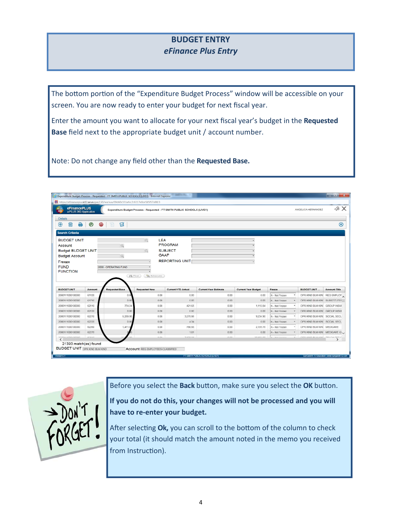### **BUDGET ENTRY**  *eFinance Plus Entry*

The bottom portion of the "Expenditure Budget Process" window will be accessible on your screen. You are now ready to enter your budget for next fiscal year.

Enter the amount you want to allocate for your next fiscal year's budget in the **Requested Base** field next to the appropriate budget unit / account number.

Note: Do not change any field other than the **Requested Base.**

| eFinancePLUS<br><b>PLUS</b><br>Expenditure Budget Process - Requested - FT SMITH PUBLIC SCHOOLS (LIVE!!)<br>360<br>a PLUS 360 Application |         |                                  |                        |                           |                              |                            |                | ANGELICA HERNANDEZ            | ⊲∂ Х                 |
|-------------------------------------------------------------------------------------------------------------------------------------------|---------|----------------------------------|------------------------|---------------------------|------------------------------|----------------------------|----------------|-------------------------------|----------------------|
| <b>Details</b><br>$^{\circledR}$<br>≏<br>m                                                                                                | $\odot$ | 目<br>⊕                           |                        |                           |                              |                            |                |                               | $\circledR$          |
| <b>Search Criteria</b>                                                                                                                    |         |                                  |                        |                           |                              |                            |                |                               |                      |
| <b>Budget BUDGET UNIT</b>                                                                                                                 |         | $\Omega$                         | $\circ$<br><b>GAAP</b> | <b>SUBJECT</b>            |                              |                            |                |                               |                      |
| <b>Budget Account</b><br>Freeze<br><b>FUND</b><br><b>FUNCTION</b>                                                                         |         | 2000 - OPERATING FUND<br>Ah Find | Advanced               | <b>REPORTING UNIT</b>     |                              |                            |                |                               |                      |
| <b>BUDGET UNIT</b>                                                                                                                        | Account | <b>Requested Base</b>            | <b>Requested New</b>   | <b>Current YTD Actual</b> | <b>Current Year Estimate</b> | <b>Current Year Budget</b> | Freeze         | <b>BUDGET UNIT</b>            | <b>Account Title</b> |
| 2000111000100000                                                                                                                          | 61120   | 00                               | 0.00                   | 0.00                      | 0.00                         | 0.00                       | N - Not Frozen | OPR KIND BLM KINE             | <b>REG EMPLOY</b>    |
|                                                                                                                                           | 61710   | 0.00                             | 0.00                   | 0.00                      | 0.00                         | 0.00                       | N - Not Frozen | OPR KIND BLM KINE SUBSTITUTES |                      |
|                                                                                                                                           | 62110   | 774.24                           | 0.00                   | 421.65                    | 0.00                         | 1,113.84                   | N - Not Frozen | OPR KIND BLM KINL GROUP INSUE |                      |
| 2000111000100000<br>2000111000100000<br>2000111000100000                                                                                  | 62120   | 0.00                             | 0.00                   | 0.00                      | 0.00                         | 0.00                       | N - Not Frozen | OPR KIND BLM KINL GROUP INSUE |                      |
|                                                                                                                                           | 62210   | 6,289.90                         | 0.00                   | 3,278.86                  | 0.00                         | 9,234.90                   | N - Not Frozen | OPR KIND BLM KINI SOCIAL SECL |                      |
| 2000111000100000<br>2000111000100000                                                                                                      | 62220   | 0.00                             | 0.00                   | 4.34                      | 0.00                         | 0.00                       | N - Not Frozen | OPR KIND BLM KINI SOCIAL SECU |                      |
|                                                                                                                                           | 62260   | 1,471.0                          | 0.00                   | 766.88                    | 0.00                         | 2.159.78                   | N - Not Frozen | OPR KIND BLM KINI MEDICARE    |                      |
| 2000111000100000<br>2000111000100000                                                                                                      | 62270   |                                  | 0.00                   | 1.01                      | 0.00                         | 0.00                       | N - Not Frozen | OPR KIND BLM KINT MEDICARE CL |                      |



Before you select the **Back** button, make sure you select the OK button.

**If you do not do this, your changes will not be processed and you will have to re‐enter your budget.** 

After selecting Ok, you can scroll to the bottom of the column to check your total (it should match the amount noted in the memo you received from Instruction).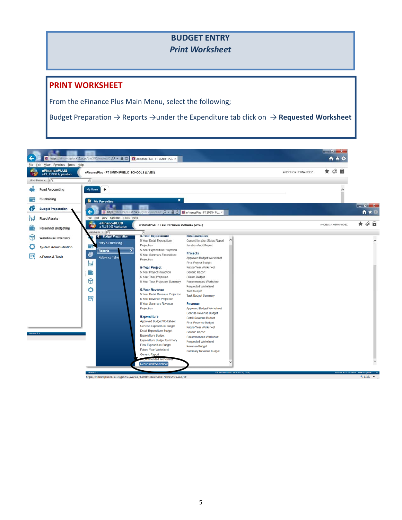## **BUDGET ENTRY**  *Print Worksheet*

#### **PRINT WORKSHEET**

From the eFinance Plus Main Menu, select the following;

Budget Preparation → Reports →under the Expenditure tab click on → Requested Worksheet